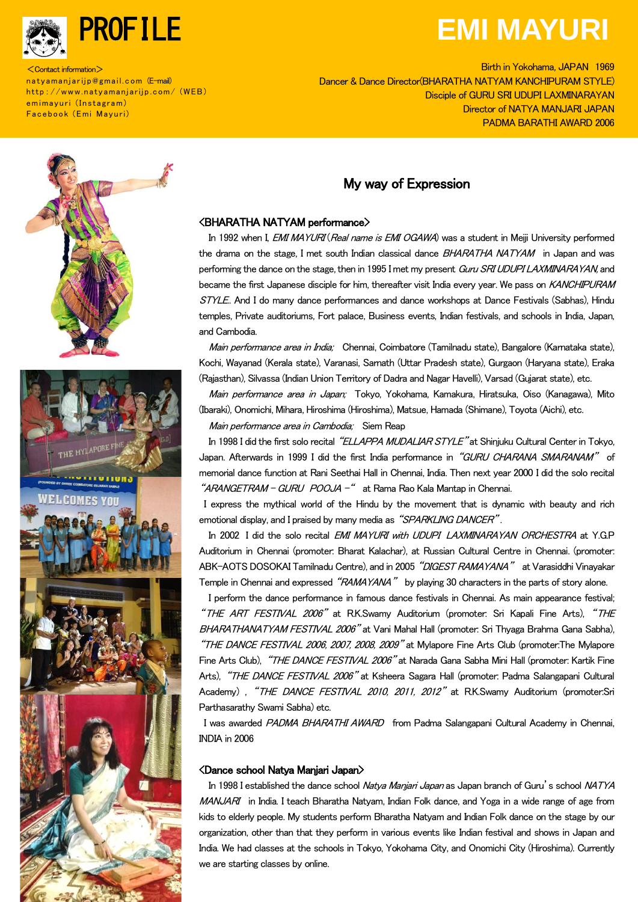

<Contact information> natyamanjarijp@gmail.com (E-mail) http://www.natyamanjarijp.com/ (WEB) emimayuri (Instagram) Facebook (Emi Mayuri)

# PROFILE **EMI MAYURI**

Birth in Yokohama, JAPAN 1969<br>Dancer & Dance Director(BHARATHA NATYAM KANCHIPURAM STYLE) Birth in Yokohama, JAPAN 1969 Disciple of GURU SRI UDUPI LAXMINARAYAN Director of NATYA MANJARI JAPAN PADMA BARATHI AWARD 2006

## My way of Expression



In 1992 when I, EMI MAYURI (Real name is EMI OGAWA) was a student in Meiji University performed the drama on the stage, I met south Indian classical dance BHARATHA NATYAM in Japan and was performing the dance on the stage, then in 1995 I met my present Guru SRI UDUPI LAXMINARAYAN, and became the first Japanese disciple for him, thereafter visit India every year. We pass on KANCHIPURAM STYLE. And I do many dance performances and dance workshops at Dance Festivals (Sabhas), Hindu temples, Private auditoriums, Fort palace, Business events, Indian festivals, and schools in India, Japan, and Cambodia.

Main performance area in India; Chennai, Coimbatore (Tamilnadu state), Bangalore (Karnataka state), Kochi, Wayanad (Kerala state), Varanasi, Sarnath (Uttar Pradesh state), Gurgaon (Haryana state), Eraka (Rajasthan), Silvassa (Indian Union Territory of Dadra and Nagar Havelli), Varsad (Gujarat state), etc.

Main performance area in Japan; Tokyo, Yokohama, Kamakura, Hiratsuka, Oiso (Kanagawa), Mito (Ibaraki), Onomichi, Mihara, Hiroshima (Hiroshima), Matsue, Hamada (Shimane), Toyota (Aichi), etc.

Main performance area in Cambodia; Siem Reap

In 1998 I did the first solo recital "ELLAPPA MUDALIAR STYLE" at Shinjuku Cultural Center in Tokyo, Japan. Afterwards in 1999 I did the first India performance in "GURU CHARANA SMARANAM" of memorial dance function at Rani Seethai Hall in Chennai, India. Then next year 2000 I did the solo recital "ARANGETRAM - GURU POOJA -" at Rama Rao Kala Mantap in Chennai.

I express the mythical world of the Hindu by the movement that is dynamic with beauty and rich emotional display, and I praised by many media as "SPARKLING DANCER".

In 2002 I did the solo recital EMI MAYURI with UDUPI LAXMINARAYAN ORCHESTRA at Y.G.P Auditorium in Chennai (promoter: Bharat Kalachar), at Russian Cultural Centre in Chennai. (promoter: ABK-AOTS DOSOKAI Tamilnadu Centre), and in 2005 "DIGEST RAMAYANA" at Varasiddhi Vinayakar Temple in Chennai and expressed "RAMAYANA" by playing 30 characters in the parts of story alone.

I perform the dance performance in famous dance festivals in Chennai. As main appearance festival; "THE ART FESTIVAL 2006" at R.K.Swamy Auditorium (promoter: Sri Kapali Fine Arts), "THE BHARATHANATYAM FESTIVAL 2006" at Vani Mahal Hall (promoter: Sri Thyaga Brahma Gana Sabha), "THE DANCE FESTIVAL 2006, 2007, 2008, 2009" at Mylapore Fine Arts Club (promoter:The Mylapore Fine Arts Club), "THE DANCE FESTIVAL 2006" at Narada Gana Sabha Mini Hall (promoter: Kartik Fine Arts), "THE DANCE FESTIVAL 2006" at Ksheera Sagara Hall (promoter: Padma Salangapani Cultural Academy), "THE DANCE FESTIVAL 2010, 2011, 2012" at RK.Swamy Auditorium (promoter:Sri Parthasarathy Swami Sabha) etc.

I was awarded PADMA BHARATHI AWARD from Padma Salangapani Cultural Academy in Chennai, INDIA in 2006

#### <Dance school Natya Manjari Japan>

In 1998 I established the dance school Natya Manjari Japan as Japan branch of Guru's school NATYA MANJARI in India. I teach Bharatha Natyam, Indian Folk dance, and Yoga in a wide range of age from kids to elderly people. My students perform Bharatha Natyam and Indian Folk dance on the stage by our organization, other than that they perform in various events like Indian festival and shows in Japan and India. We had classes at the schools in Tokyo, Yokohama City, and Onomichi City (Hiroshima). Currently we are starting classes by online.